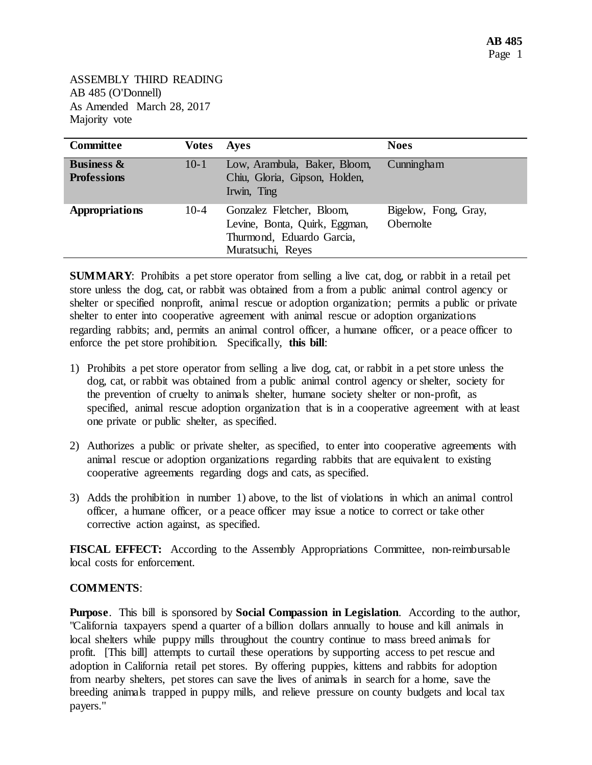ASSEMBLY THIRD READING AB 485 (O'Donnell) As Amended March 28, 2017 Majority vote

| <b>Committee</b>                            | Votes    | Ayes                                                                                                         | <b>Noes</b>                              |
|---------------------------------------------|----------|--------------------------------------------------------------------------------------------------------------|------------------------------------------|
| <b>Business &amp;</b><br><b>Professions</b> | $10 - 1$ | Low, Arambula, Baker, Bloom,<br>Chiu, Gloria, Gipson, Holden,<br>Irwin, Ting                                 | Cunningham                               |
| <b>Appropriations</b>                       | $10-4$   | Gonzalez Fletcher, Bloom,<br>Levine, Bonta, Quirk, Eggman,<br>Thurmond, Eduardo Garcia,<br>Muratsuchi, Reyes | Bigelow, Fong, Gray,<br><b>Obernolte</b> |

**SUMMARY**: Prohibits a pet store operator from selling a live cat, dog, or rabbit in a retail pet store unless the dog, cat, or rabbit was obtained from a from a public animal control agency or shelter or specified nonprofit, animal rescue or adoption organization; permits a public or private shelter to enter into cooperative agreement with animal rescue or adoption organizations regarding rabbits; and, permits an animal control officer, a humane officer, or a peace officer to enforce the pet store prohibition. Specifically, **this bill**:

- 1) Prohibits a pet store operator from selling a live dog, cat, or rabbit in a pet store unless the dog, cat, or rabbit was obtained from a public animal control agency or shelter, society for the prevention of cruelty to animals shelter, humane society shelter or non-profit, as specified, animal rescue adoption organization that is in a cooperative agreement with at least one private or public shelter, as specified.
- 2) Authorizes a public or private shelter, as specified, to enter into cooperative agreements with animal rescue or adoption organizations regarding rabbits that are equivalent to existing cooperative agreements regarding dogs and cats, as specified.
- 3) Adds the prohibition in number 1) above, to the list of violations in which an animal control officer, a humane officer, or a peace officer may issue a notice to correct or take other corrective action against, as specified.

**FISCAL EFFECT:** According to the Assembly Appropriations Committee, non-reimbursable local costs for enforcement.

## **COMMENTS**:

**Purpose**. This bill is sponsored by **Social Compassion in Legislation**. According to the author, "California taxpayers spend a quarter of a billion dollars annually to house and kill animals in local shelters while puppy mills throughout the country continue to mass breed animals for profit. [This bill] attempts to curtail these operations by supporting access to pet rescue and adoption in California retail pet stores. By offering puppies, kittens and rabbits for adoption from nearby shelters, pet stores can save the lives of animals in search for a home, save the breeding animals trapped in puppy mills, and relieve pressure on county budgets and local tax payers."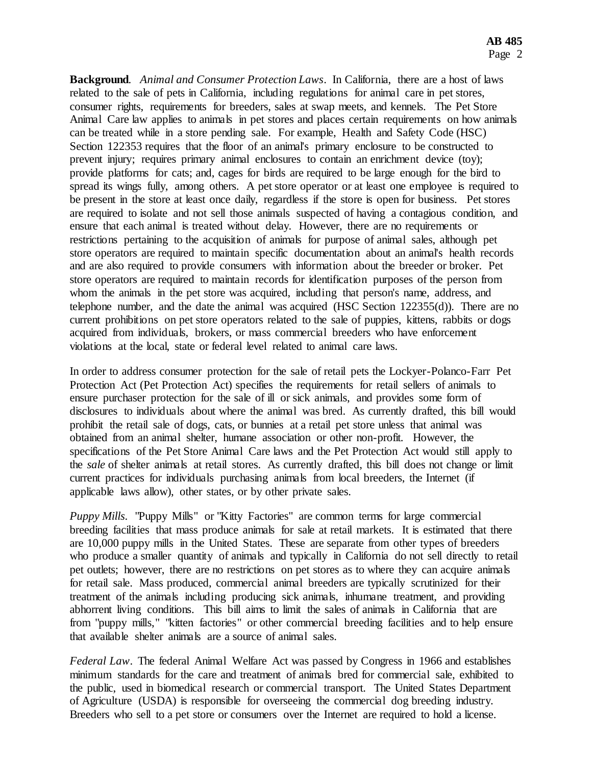**Background**. *Animal and Consumer Protection Laws*. In California, there are a host of laws related to the sale of pets in California, including regulations for animal care in pet stores, consumer rights, requirements for breeders, sales at swap meets, and kennels. The Pet Store Animal Care law applies to animals in pet stores and places certain requirements on how animals can be treated while in a store pending sale. For example, Health and Safety Code (HSC) Section 122353 requires that the floor of an animal's primary enclosure to be constructed to prevent injury; requires primary animal enclosures to contain an enrichment device (toy); provide platforms for cats; and, cages for birds are required to be large enough for the bird to spread its wings fully, among others. A pet store operator or at least one employee is required to be present in the store at least once daily, regardless if the store is open for business. Pet stores are required to isolate and not sell those animals suspected of having a contagious condition, and ensure that each animal is treated without delay. However, there are no requirements or restrictions pertaining to the acquisition of animals for purpose of animal sales, although pet store operators are required to maintain specific documentation about an animal's health records and are also required to provide consumers with information about the breeder or broker. Pet store operators are required to maintain records for identification purposes of the person from whom the animals in the pet store was acquired, including that person's name, address, and telephone number, and the date the animal was acquired (HSC Section 122355(d)). There are no current prohibitions on pet store operators related to the sale of puppies, kittens, rabbits or dogs acquired from individuals, brokers, or mass commercial breeders who have enforcement violations at the local, state or federal level related to animal care laws.

In order to address consumer protection for the sale of retail pets the Lockyer-Polanco-Farr Pet Protection Act (Pet Protection Act) specifies the requirements for retail sellers of animals to ensure purchaser protection for the sale of ill or sick animals, and provides some form of disclosures to individuals about where the animal was bred. As currently drafted, this bill would prohibit the retail sale of dogs, cats, or bunnies at a retail pet store unless that animal was obtained from an animal shelter, humane association or other non-profit. However, the specifications of the Pet Store Animal Care laws and the Pet Protection Act would still apply to the *sale* of shelter animals at retail stores. As currently drafted, this bill does not change or limit current practices for individuals purchasing animals from local breeders, the Internet (if applicable laws allow), other states, or by other private sales.

*Puppy Mills*. "Puppy Mills" or "Kitty Factories" are common terms for large commercial breeding facilities that mass produce animals for sale at retail markets. It is estimated that there are 10,000 puppy mills in the United States. These are separate from other types of breeders who produce a smaller quantity of animals and typically in California do not sell directly to retail pet outlets; however, there are no restrictions on pet stores as to where they can acquire animals for retail sale. Mass produced, commercial animal breeders are typically scrutinized for their treatment of the animals including producing sick animals, inhumane treatment, and providing abhorrent living conditions. This bill aims to limit the sales of animals in California that are from "puppy mills," "kitten factories" or other commercial breeding facilities and to help ensure that available shelter animals are a source of animal sales.

*Federal Law*. The federal Animal Welfare Act was passed by Congress in 1966 and establishes minimum standards for the care and treatment of animals bred for commercial sale, exhibited to the public, used in biomedical research or commercial transport. The United States Department of Agriculture (USDA) is responsible for overseeing the commercial dog breeding industry. Breeders who sell to a pet store or consumers over the Internet are required to hold a license.